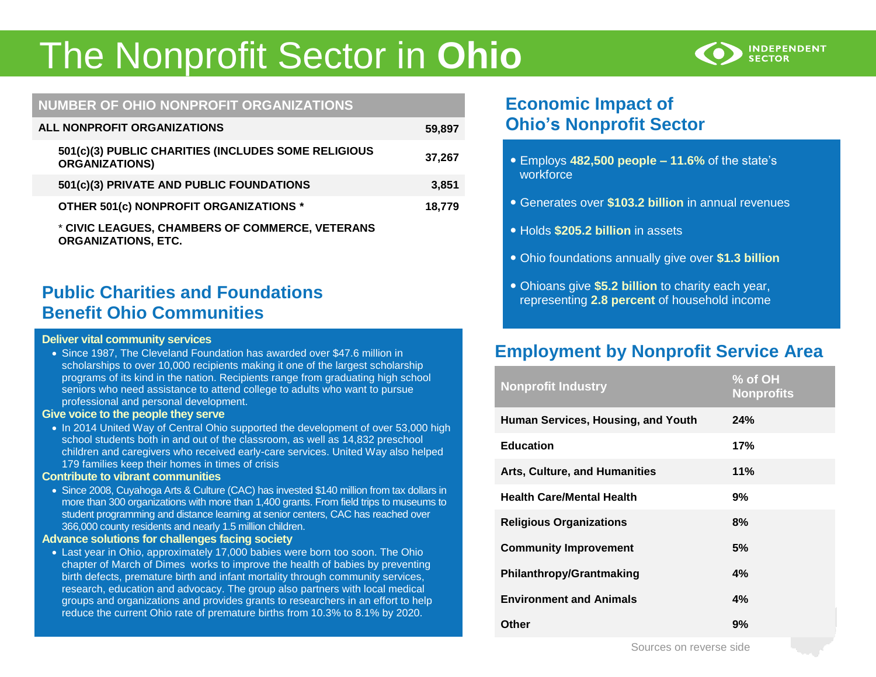# The Nonprofit Sector in **Ohio**



## **NUMBER OF OHIO NONPROFIT ORGANIZATIONS**

| ALL NONPROFIT ORGANIZATIONS                                                   | 59,897 |
|-------------------------------------------------------------------------------|--------|
| 501(c)(3) PUBLIC CHARITIES (INCLUDES SOME RELIGIOUS<br><b>ORGANIZATIONS)</b>  | 37,267 |
| 501(c)(3) PRIVATE AND PUBLIC FOUNDATIONS                                      | 3,851  |
| OTHER 501(c) NONPROFIT ORGANIZATIONS *                                        | 18,779 |
| * CIVIC LEAGUES, CHAMBERS OF COMMERCE, VETERANS<br><b>ORGANIZATIONS, ETC.</b> |        |

# **Public Charities and Foundations Benefit Ohio Communities**

#### **Deliver vital community services**

 Since 1987, The Cleveland Foundation has awarded over \$47.6 million in scholarships to over 10,000 recipients making it one of the largest scholarship programs of its kind in the nation. Recipients range from graduating high school seniors who need assistance to attend college to adults who want to pursue professional and personal development.

#### **Give voice to the people they serve**

• In 2014 United Way of Central Ohio supported the development of over 53,000 high school students both in and out of the classroom, as well as 14,832 preschool children and caregivers who received early-care services. United Way also helped 179 families keep their homes in times of crisis

#### **Contribute to vibrant communities**

• Since 2008, Cuyahoga Arts & Culture (CAC) has invested \$140 million from tax dollars in more than 300 organizations with more than 1,400 grants. From field trips to museums to student programming and distance learning at senior centers, CAC has reached over 366,000 county residents and nearly 1.5 million children.

#### **Advance solutions for challenges facing society**

 Last year in Ohio, approximately 17,000 babies were born too soon. The Ohio chapter of March of Dimes works to improve the health of babies by preventing birth defects, premature birth and infant mortality through community services, research, education and advocacy. The group also partners with local medical groups and organizations and provides grants to researchers in an effort to help reduce the current Ohio rate of premature births from 10.3% to 8.1% by 2020.

# **Economic Impact of Ohio's Nonprofit Sector**

- Employs **482,500 people – 11.6%** of the state's workforce
- Generates over **\$103.2 billion** in annual revenues
- Holds **\$205.2 billion** in assets
- Ohio foundations annually give over **\$1.3 billion**
- Ohioans give **\$5.2 billion** to charity each year, representing **2.8 percent** of household income

# **Employment by Nonprofit Service Area**

| <b>Nonprofit Industry</b>            | % of OH<br><b>Nonprofits</b> |
|--------------------------------------|------------------------------|
| Human Services, Housing, and Youth   | 24%                          |
| <b>Education</b>                     | 17%                          |
| <b>Arts, Culture, and Humanities</b> | 11%                          |
| <b>Health Care/Mental Health</b>     | 9%                           |
| <b>Religious Organizations</b>       | 8%                           |
| <b>Community Improvement</b>         | 5%                           |
| <b>Philanthropy/Grantmaking</b>      | 4%                           |
| <b>Environment and Animals</b>       | 4%                           |
| Other                                | 9%                           |

Sources on reverse side